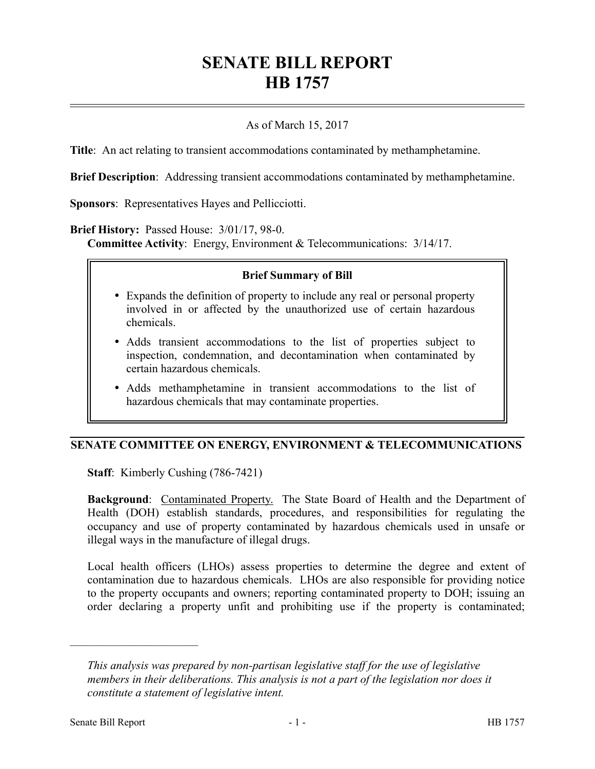# **SENATE BILL REPORT HB 1757**

## As of March 15, 2017

**Title**: An act relating to transient accommodations contaminated by methamphetamine.

**Brief Description**: Addressing transient accommodations contaminated by methamphetamine.

**Sponsors**: Representatives Hayes and Pellicciotti.

**Brief History:** Passed House: 3/01/17, 98-0.

**Committee Activity**: Energy, Environment & Telecommunications: 3/14/17.

#### **Brief Summary of Bill**

- Expands the definition of property to include any real or personal property involved in or affected by the unauthorized use of certain hazardous chemicals.
- Adds transient accommodations to the list of properties subject to inspection, condemnation, and decontamination when contaminated by certain hazardous chemicals.
- Adds methamphetamine in transient accommodations to the list of hazardous chemicals that may contaminate properties.

### **SENATE COMMITTEE ON ENERGY, ENVIRONMENT & TELECOMMUNICATIONS**

**Staff**: Kimberly Cushing (786-7421)

**Background:** Contaminated Property. The State Board of Health and the Department of Health (DOH) establish standards, procedures, and responsibilities for regulating the occupancy and use of property contaminated by hazardous chemicals used in unsafe or illegal ways in the manufacture of illegal drugs.

Local health officers (LHOs) assess properties to determine the degree and extent of contamination due to hazardous chemicals. LHOs are also responsible for providing notice to the property occupants and owners; reporting contaminated property to DOH; issuing an order declaring a property unfit and prohibiting use if the property is contaminated;

––––––––––––––––––––––

*This analysis was prepared by non-partisan legislative staff for the use of legislative members in their deliberations. This analysis is not a part of the legislation nor does it constitute a statement of legislative intent.*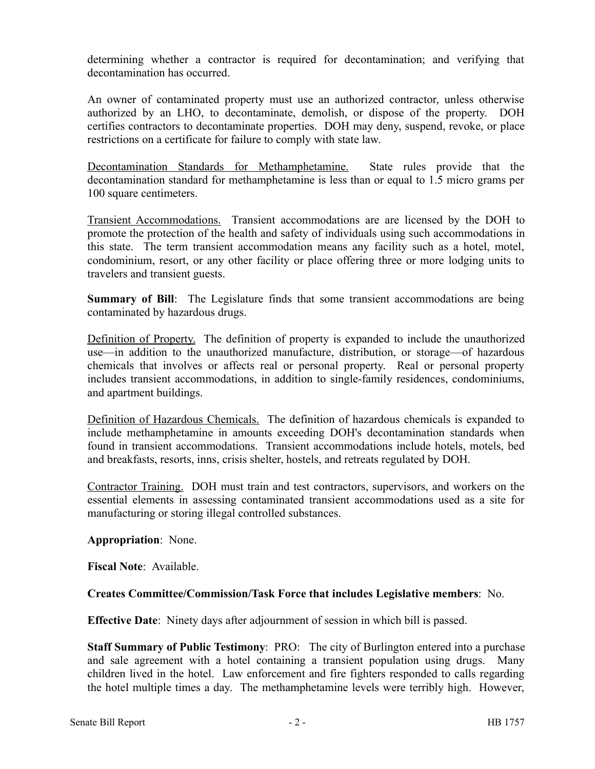determining whether a contractor is required for decontamination; and verifying that decontamination has occurred.

An owner of contaminated property must use an authorized contractor, unless otherwise authorized by an LHO, to decontaminate, demolish, or dispose of the property. DOH certifies contractors to decontaminate properties. DOH may deny, suspend, revoke, or place restrictions on a certificate for failure to comply with state law.

Decontamination Standards for Methamphetamine. State rules provide that the decontamination standard for methamphetamine is less than or equal to 1.5 micro grams per 100 square centimeters.

Transient Accommodations. Transient accommodations are are licensed by the DOH to promote the protection of the health and safety of individuals using such accommodations in this state. The term transient accommodation means any facility such as a hotel, motel, condominium, resort, or any other facility or place offering three or more lodging units to travelers and transient guests.

**Summary of Bill**: The Legislature finds that some transient accommodations are being contaminated by hazardous drugs.

Definition of Property. The definition of property is expanded to include the unauthorized use—in addition to the unauthorized manufacture, distribution, or storage—of hazardous chemicals that involves or affects real or personal property. Real or personal property includes transient accommodations, in addition to single-family residences, condominiums, and apartment buildings.

Definition of Hazardous Chemicals. The definition of hazardous chemicals is expanded to include methamphetamine in amounts exceeding DOH's decontamination standards when found in transient accommodations. Transient accommodations include hotels, motels, bed and breakfasts, resorts, inns, crisis shelter, hostels, and retreats regulated by DOH.

Contractor Training. DOH must train and test contractors, supervisors, and workers on the essential elements in assessing contaminated transient accommodations used as a site for manufacturing or storing illegal controlled substances.

## **Appropriation**: None.

**Fiscal Note**: Available.

## **Creates Committee/Commission/Task Force that includes Legislative members**: No.

**Effective Date**: Ninety days after adjournment of session in which bill is passed.

**Staff Summary of Public Testimony**: PRO: The city of Burlington entered into a purchase and sale agreement with a hotel containing a transient population using drugs. Many children lived in the hotel. Law enforcement and fire fighters responded to calls regarding the hotel multiple times a day. The methamphetamine levels were terribly high. However,